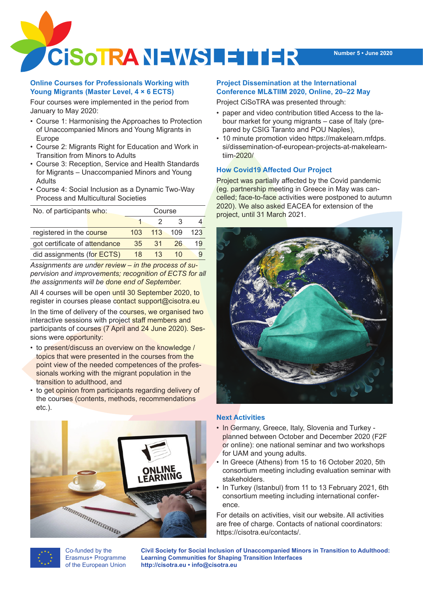

## **Online Courses for Professionals Working with Young Migrants (Master Level, 4 × 6 ECTS)**

Four courses were implemented in the period from January to May 2020:

- • Course 1: Harmonising the Approaches to Protection of Unaccompanied Minors and Young Migrants in Europe
- • Course 2: Migrants Right for Education and Work in Transition from Minors to Adults
- • Course 3: Reception, Service and Health Standards for Migrants – Unaccompanied Minors and Young Adults
- Course 4: Social Inclusion as a Dynamic Two-Way Process and Multicultural Societies

| No. of participants who:      |                  | Course |     |     |
|-------------------------------|------------------|--------|-----|-----|
|                               |                  |        | З   |     |
| registered in the course      | 103 <sup>2</sup> | 113    | 109 | 123 |
| got certificate of attendance | 35               | 31     | 26  | 19  |
| did assignments (for ECTS)    | 18               | 1.3    | 10  |     |

*Assignments are under review – in the process of supervision and improvements; recognition of ECTS for all the assignments will be done end of September.*

All 4 courses will be open until 30 September 2020, to register in courses please contact support@cisotra.eu

In the time of delivery of the courses, we organised two interactive sessions with project staff members and participants of courses (7 April and 24 June 2020). Sessions were opportunity:

- to present/discuss an overview on the knowledge / topics that were presented in the courses from the point view of the needed competences of the professionals working with the migrant population in the transition to adulthood, and
- to get opinion from participants regarding delivery of the courses (contents, methods, recommendations etc.).



Co-funded by the Erasmus+ Programme of the European Union

## **Project Dissemination at the International Conference ML&TIIM 2020, Online, 20–22 May**

Project CiSoTRA was presented through:

- paper and video contribution titled Access to the labour market for young migrants – case of Italy (prepared by CSIG Taranto and POU Naples),
- 10 minute promotion video https://makelearn.mfdps. si/dissemination-of-european-projects-at-makelearntiim-2020/

# **How Covid19 Affected Our Project**

Project was partially affected by the Covid pandemic (eg. partnership meeting in Greece in May was cancelled; face-to-face activities were postponed to autumn 2020). We also asked EACEA for extension of the project, until 31 March 2021.



#### **Next Activities**

- In Germany, Greece, Italy, Slovenia and Turkey planned between October and December 2020 (F2F or online): one national seminar and two workshops for UAM and young adults.
- In Greece (Athens) from 15 to 16 October 2020, 5th consortium meeting including evaluation seminar with stakeholders.
- In Turkey (Istanbul) from 11 to 13 February 2021, 6th consortium meeting including international conference.

For details on activities, visit our website. All activities are free of charge. Contacts of national coordinators: https://cisotra.eu/contacts/.

**Civil Society for Social Inclusion of Unaccompanied Minors in Transition to Adulthood: Learning Communities for Shaping Transition Interfaces http://cisotra.eu • info@cisotra.eu**